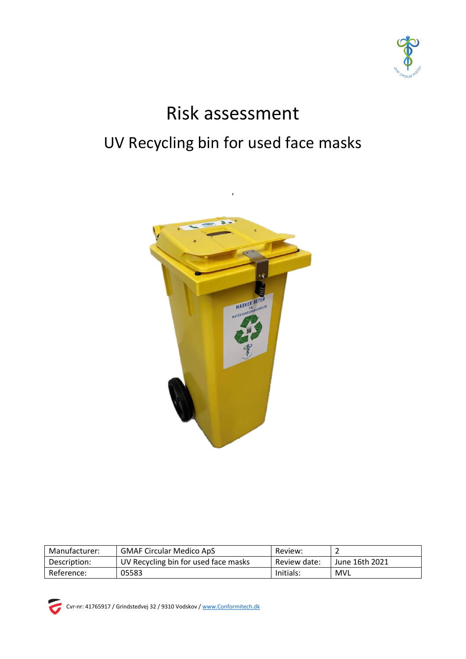

# Risk assessment UV Recycling bin for used face masks



| Manufacturer: | <b>GMAF Circular Medico ApS</b>      | Review:      |                |
|---------------|--------------------------------------|--------------|----------------|
| Description:  | UV Recycling bin for used face masks | Review date: | June 16th 2021 |
| Reference:    | 05583                                | Initials:    | MVL            |



Cvr-nr: 41765917 / Grindstedvej 32 / 9310 Vodskov [/ www.Conformitech.dk](http://www.conformitech.dk/)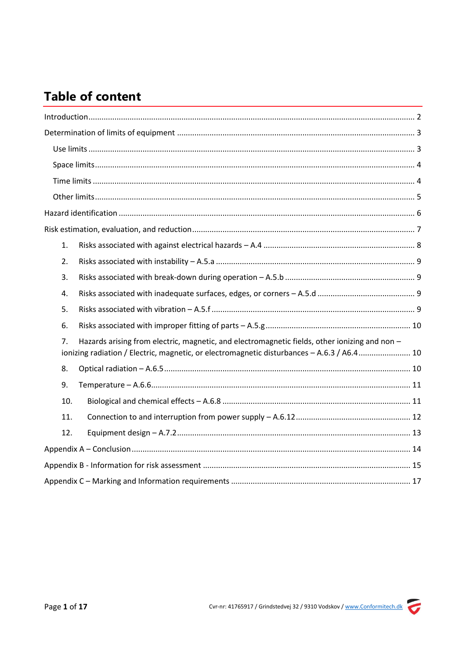# **Table of content**

| 1.                                                                                                                                                                                                |
|---------------------------------------------------------------------------------------------------------------------------------------------------------------------------------------------------|
| 2.                                                                                                                                                                                                |
| 3.                                                                                                                                                                                                |
| 4.                                                                                                                                                                                                |
| 5.                                                                                                                                                                                                |
| 6.                                                                                                                                                                                                |
| Hazards arising from electric, magnetic, and electromagnetic fields, other ionizing and non -<br>7.<br>ionizing radiation / Electric, magnetic, or electromagnetic disturbances - A.6.3 / A6.4 10 |
| 8.                                                                                                                                                                                                |
| 9.                                                                                                                                                                                                |
| 10.                                                                                                                                                                                               |
| 11.                                                                                                                                                                                               |
| 12.                                                                                                                                                                                               |
|                                                                                                                                                                                                   |
|                                                                                                                                                                                                   |
|                                                                                                                                                                                                   |

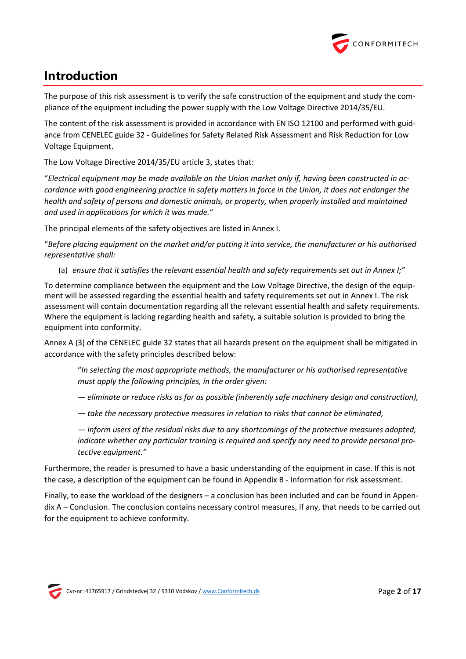

# <span id="page-2-0"></span>**Introduction**

The purpose of this risk assessment is to verify the safe construction of the equipment and study the compliance of the equipment including the power supply with the Low Voltage Directive 2014/35/EU.

The content of the risk assessment is provided in accordance with EN ISO 12100 and performed with guidance from CENELEC guide 32 - Guidelines for Safety Related Risk Assessment and Risk Reduction for Low Voltage Equipment.

The Low Voltage Directive 2014/35/EU article 3, states that:

"*Electrical equipment may be made available on the Union market only if, having been constructed in accordance with good engineering practice in safety matters in force in the Union, it does not endanger the health and safety of persons and domestic animals, or property, when properly installed and maintained and used in applications for which it was made.*"

The principal elements of the safety objectives are listed in Annex I.

"*Before placing equipment on the market and/or putting it into service, the manufacturer or his authorised representative shall:*

(a) *ensure that it satisfies the relevant essential health and safety requirements set out in Annex I;"*

To determine compliance between the equipment and the Low Voltage Directive, the design of the equipment will be assessed regarding the essential health and safety requirements set out in Annex I. The risk assessment will contain documentation regarding all the relevant essential health and safety requirements. Where the equipment is lacking regarding health and safety, a suitable solution is provided to bring the equipment into conformity.

Annex A (3) of the CENELEC guide 32 states that all hazards present on the equipment shall be mitigated in accordance with the safety principles described below:

"*In selecting the most appropriate methods, the manufacturer or his authorised representative must apply the following principles, in the order given:*

*— eliminate or reduce risks as far as possible (inherently safe machinery design and construction),*

- *— take the necessary protective measures in relation to risks that cannot be eliminated,*
- *— inform users of the residual risks due to any shortcomings of the protective measures adopted, indicate whether any particular training is required and specify any need to provide personal protective equipment."*

Furthermore, the reader is presumed to have a basic understanding of the equipment in case. If this is not the case, a description of the equipment can be found in Appendix B - [Information for risk assessment.](#page-15-0)

Finally, to ease the workload of the designers – a conclusion has been included and can be found in [Appen](#page-14-0)dix A – [Conclusion.](#page-14-0) The conclusion contains necessary control measures, if any, that needs to be carried out for the equipment to achieve conformity.

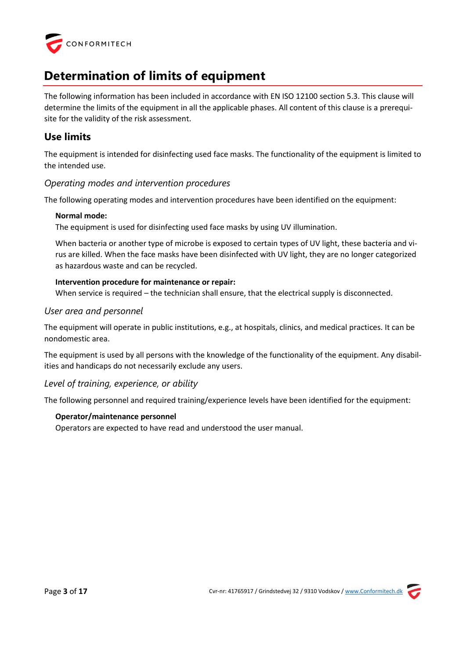

# <span id="page-3-0"></span>**Determination of limits of equipment**

The following information has been included in accordance with EN ISO 12100 section 5.3. This clause will determine the limits of the equipment in all the applicable phases. All content of this clause is a prerequisite for the validity of the risk assessment.

# <span id="page-3-1"></span>**Use limits**

The equipment is intended for disinfecting used face masks. The functionality of the equipment is limited to the intended use.

# *Operating modes and intervention procedures*

The following operating modes and intervention procedures have been identified on the equipment:

#### **Normal mode:**

The equipment is used for disinfecting used face masks by using UV illumination.

When bacteria or another type of microbe is exposed to certain types of UV light, these bacteria and virus are killed. When the face masks have been disinfected with UV light, they are no longer categorized as hazardous waste and can be recycled.

# **Intervention procedure for maintenance or repair:**

When service is required – the technician shall ensure, that the electrical supply is disconnected.

# *User area and personnel*

The equipment will operate in public institutions, e.g., at hospitals, clinics, and medical practices. It can be nondomestic area.

The equipment is used by all persons with the knowledge of the functionality of the equipment. Any disabilities and handicaps do not necessarily exclude any users.

# *Level of training, experience, or ability*

The following personnel and required training/experience levels have been identified for the equipment:

# **Operator/maintenance personnel**

Operators are expected to have read and understood the user manual.

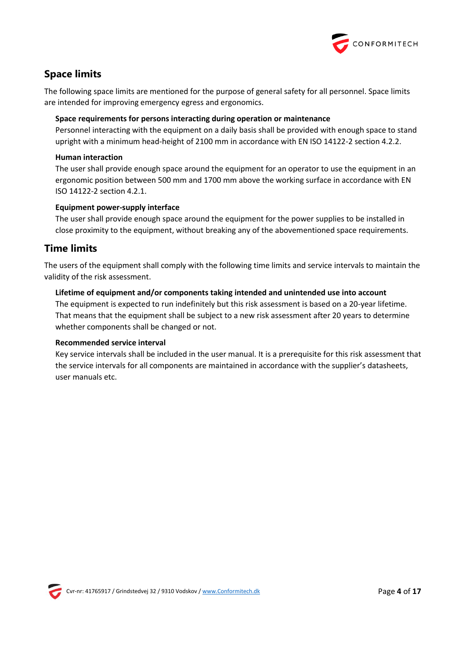

# <span id="page-4-0"></span>**Space limits**

The following space limits are mentioned for the purpose of general safety for all personnel. Space limits are intended for improving emergency egress and ergonomics.

# **Space requirements for persons interacting during operation or maintenance**

Personnel interacting with the equipment on a daily basis shall be provided with enough space to stand upright with a minimum head-height of 2100 mm in accordance with EN ISO 14122-2 section 4.2.2.

# **Human interaction**

The user shall provide enough space around the equipment for an operator to use the equipment in an ergonomic position between 500 mm and 1700 mm above the working surface in accordance with EN ISO 14122-2 section 4.2.1.

# **Equipment power-supply interface**

The user shall provide enough space around the equipment for the power supplies to be installed in close proximity to the equipment, without breaking any of the abovementioned space requirements.

# <span id="page-4-1"></span>**Time limits**

The users of the equipment shall comply with the following time limits and service intervals to maintain the validity of the risk assessment.

# **Lifetime of equipment and/or components taking intended and unintended use into account**

The equipment is expected to run indefinitely but this risk assessment is based on a 20-year lifetime. That means that the equipment shall be subject to a new risk assessment after 20 years to determine whether components shall be changed or not.

#### **Recommended service interval**

Key service intervals shall be included in the user manual. It is a prerequisite for this risk assessment that the service intervals for all components are maintained in accordance with the supplier's datasheets, user manuals etc.

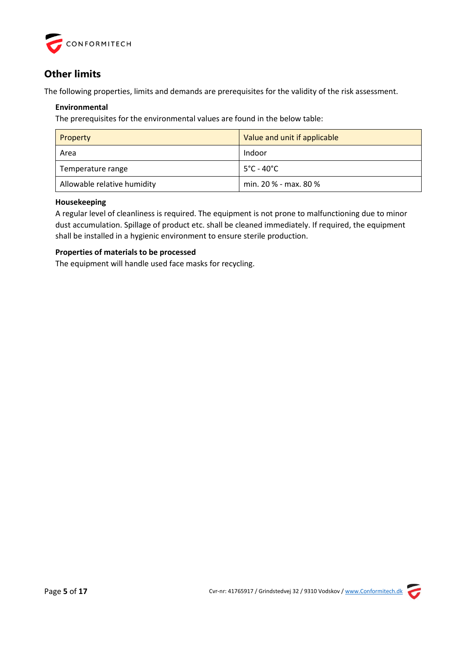

# <span id="page-5-0"></span>**Other limits**

The following properties, limits and demands are prerequisites for the validity of the risk assessment.

# **Environmental**

The prerequisites for the environmental values are found in the below table:

| Property                    | Value and unit if applicable     |
|-----------------------------|----------------------------------|
| Area                        | Indoor                           |
| Temperature range           | $-5^{\circ}$ C - 40 $^{\circ}$ C |
| Allowable relative humidity | min. 20 % - max. 80 %            |

# **Housekeeping**

A regular level of cleanliness is required. The equipment is not prone to malfunctioning due to minor dust accumulation. Spillage of product etc. shall be cleaned immediately. If required, the equipment shall be installed in a hygienic environment to ensure sterile production.

# **Properties of materials to be processed**

The equipment will handle used face masks for recycling.

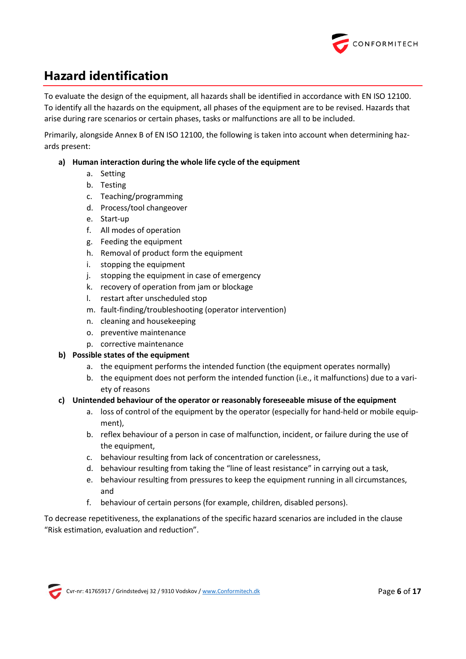

# <span id="page-6-0"></span>**Hazard identification**

To evaluate the design of the equipment, all hazards shall be identified in accordance with EN ISO 12100. To identify all the hazards on the equipment, all phases of the equipment are to be revised. Hazards that arise during rare scenarios or certain phases, tasks or malfunctions are all to be included.

Primarily, alongside Annex B of EN ISO 12100, the following is taken into account when determining hazards present:

# **a) Human interaction during the whole life cycle of the equipment**

- a. Setting
- b. Testing
- c. Teaching/programming
- d. Process/tool changeover
- e. Start-up
- f. All modes of operation
- g. Feeding the equipment
- h. Removal of product form the equipment
- i. stopping the equipment
- j. stopping the equipment in case of emergency
- k. recovery of operation from jam or blockage
- l. restart after unscheduled stop
- m. fault-finding/troubleshooting (operator intervention)
- n. cleaning and housekeeping
- o. preventive maintenance
- p. corrective maintenance

# **b) Possible states of the equipment**

- a. the equipment performs the intended function (the equipment operates normally)
- b. the equipment does not perform the intended function (i.e., it malfunctions) due to a variety of reasons

# **c) Unintended behaviour of the operator or reasonably foreseeable misuse of the equipment**

- a. loss of control of the equipment by the operator (especially for hand-held or mobile equipment),
- b. reflex behaviour of a person in case of malfunction, incident, or failure during the use of the equipment,
- c. behaviour resulting from lack of concentration or carelessness,
- d. behaviour resulting from taking the "line of least resistance" in carrying out a task,
- e. behaviour resulting from pressures to keep the equipment running in all circumstances, and
- f. behaviour of certain persons (for example, children, disabled persons).

To decrease repetitiveness, the explanations of the specific hazard scenarios are included in the clause "Risk estimation, evaluation and reduction".

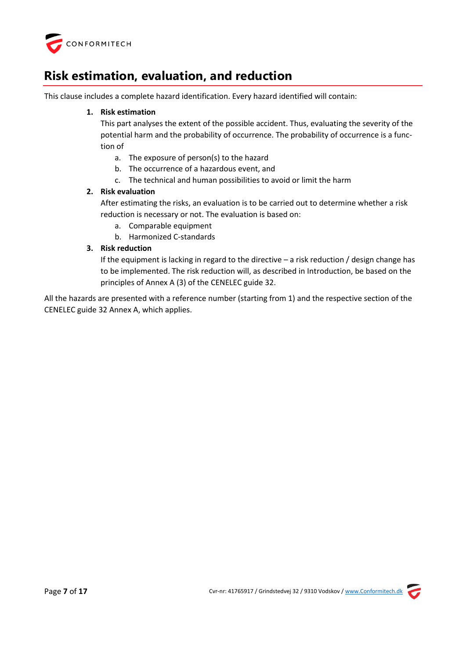

# <span id="page-7-0"></span>**Risk estimation, evaluation, and reduction**

This clause includes a complete hazard identification. Every hazard identified will contain:

# **1. Risk estimation**

This part analyses the extent of the possible accident. Thus, evaluating the severity of the potential harm and the probability of occurrence. The probability of occurrence is a function of

- a. The exposure of person(s) to the hazard
- b. The occurrence of a hazardous event, and
- c. The technical and human possibilities to avoid or limit the harm

# **2. Risk evaluation**

After estimating the risks, an evaluation is to be carried out to determine whether a risk reduction is necessary or not. The evaluation is based on:

- a. Comparable equipment
- b. Harmonized C-standards

# **3. Risk reduction**

If the equipment is lacking in regard to the directive – a risk reduction / design change has to be implemented. The risk reduction will, as described in Introduction, be based on the principles of Annex A (3) of the CENELEC guide 32.

All the hazards are presented with a reference number (starting from 1) and the respective section of the CENELEC guide 32 Annex A, which applies.

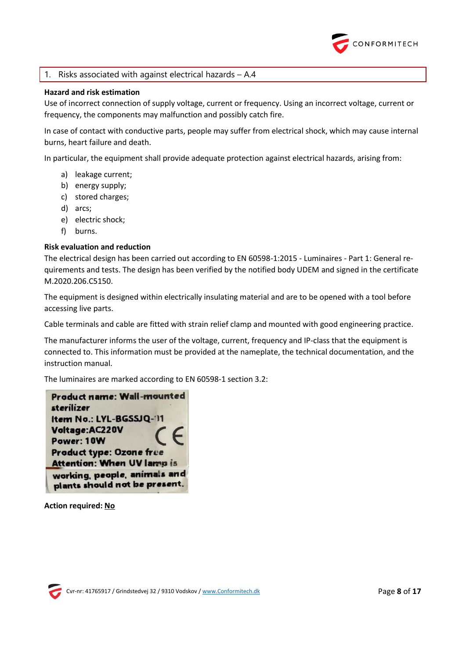

# <span id="page-8-0"></span>1. Risks associated with against electrical hazards – A.4

#### **Hazard and risk estimation**

Use of incorrect connection of supply voltage, current or frequency. Using an incorrect voltage, current or frequency, the components may malfunction and possibly catch fire.

In case of contact with conductive parts, people may suffer from electrical shock, which may cause internal burns, heart failure and death.

In particular, the equipment shall provide adequate protection against electrical hazards, arising from:

- a) leakage current;
- b) energy supply;
- c) stored charges;
- d) arcs;
- e) electric shock;
- f) burns.

#### **Risk evaluation and reduction**

The electrical design has been carried out according to EN 60598-1:2015 - Luminaires - Part 1: General requirements and tests. The design has been verified by the notified body UDEM and signed in the certificate M.2020.206.C5150.

The equipment is designed within electrically insulating material and are to be opened with a tool before accessing live parts.

Cable terminals and cable are fitted with strain relief clamp and mounted with good engineering practice.

The manufacturer informs the user of the voltage, current, frequency and IP-class that the equipment is connected to. This information must be provided at the nameplate, the technical documentation, and the instruction manual.

The luminaires are marked according to EN 60598-1 section 3.2:

**Product name: Wall-mounted** sterilizer Item No.: LYL-BGSSJQ-11 Voltage: AC220V Power: 10W **Product type: Ozone free Attention: When UV larmp is** working, people, animals and plants should not be present.

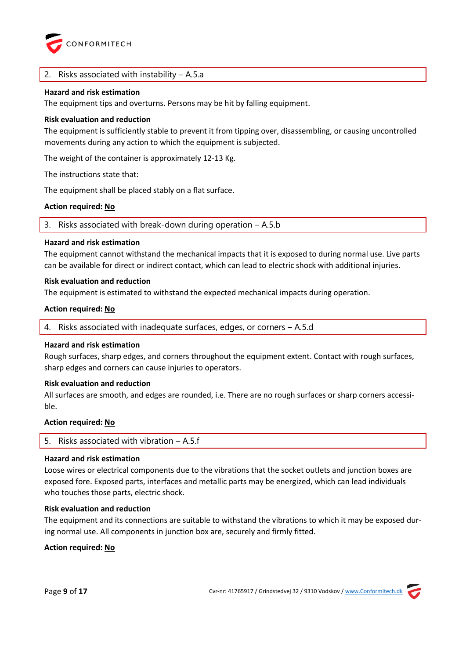

#### <span id="page-9-0"></span>Risks associated with instability  $-$  A.5.a

#### **Hazard and risk estimation**

The equipment tips and overturns. Persons may be hit by falling equipment.

#### **Risk evaluation and reduction**

The equipment is sufficiently stable to prevent it from tipping over, disassembling, or causing uncontrolled movements during any action to which the equipment is subjected.

The weight of the container is approximately 12-13 Kg.

The instructions state that:

The equipment shall be placed stably on a flat surface.

#### **Action required: No**

<span id="page-9-1"></span>3. Risks associated with break-down during operation – A.5.b

#### **Hazard and risk estimation**

The equipment cannot withstand the mechanical impacts that it is exposed to during normal use. Live parts can be available for direct or indirect contact, which can lead to electric shock with additional injuries.

#### **Risk evaluation and reduction**

The equipment is estimated to withstand the expected mechanical impacts during operation.

#### **Action required: No**

<span id="page-9-2"></span>4. Risks associated with inadequate surfaces, edges, or corners – A.5.d

#### **Hazard and risk estimation**

Rough surfaces, sharp edges, and corners throughout the equipment extent. Contact with rough surfaces, sharp edges and corners can cause injuries to operators.

#### **Risk evaluation and reduction**

All surfaces are smooth, and edges are rounded, i.e. There are no rough surfaces or sharp corners accessible.

#### **Action required: No**

<span id="page-9-3"></span>

| 5. Risks associated with vibration $-$ A.5.f |  |
|----------------------------------------------|--|
|----------------------------------------------|--|

#### **Hazard and risk estimation**

Loose wires or electrical components due to the vibrations that the socket outlets and junction boxes are exposed fore. Exposed parts, interfaces and metallic parts may be energized, which can lead individuals who touches those parts, electric shock.

#### **Risk evaluation and reduction**

The equipment and its connections are suitable to withstand the vibrations to which it may be exposed during normal use. All components in junction box are, securely and firmly fitted.

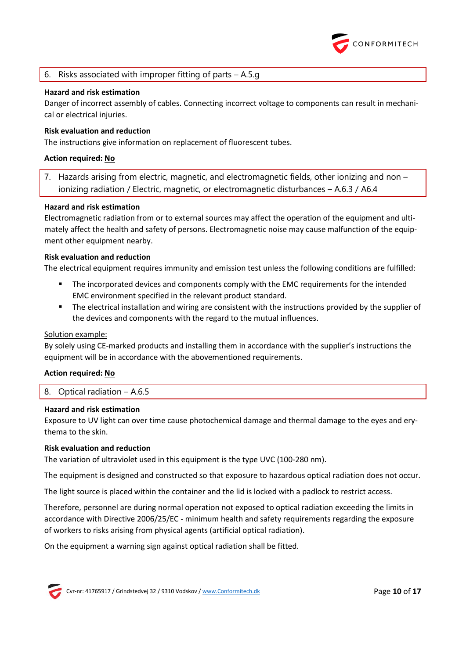

# <span id="page-10-0"></span>6. Risks associated with improper fitting of parts – A.5.g

#### **Hazard and risk estimation**

Danger of incorrect assembly of cables. Connecting incorrect voltage to components can result in mechanical or electrical injuries.

#### **Risk evaluation and reduction**

The instructions give information on replacement of fluorescent tubes.

#### **Action required: No**

<span id="page-10-1"></span>7. Hazards arising from electric, magnetic, and electromagnetic fields, other ionizing and non – ionizing radiation / Electric, magnetic, or electromagnetic disturbances – A.6.3 / A6.4

#### **Hazard and risk estimation**

Electromagnetic radiation from or to external sources may affect the operation of the equipment and ultimately affect the health and safety of persons. Electromagnetic noise may cause malfunction of the equipment other equipment nearby.

#### **Risk evaluation and reduction**

The electrical equipment requires immunity and emission test unless the following conditions are fulfilled:

- The incorporated devices and components comply with the EMC requirements for the intended EMC environment specified in the relevant product standard.
- The electrical installation and wiring are consistent with the instructions provided by the supplier of the devices and components with the regard to the mutual influences.

#### Solution example:

By solely using CE-marked products and installing them in accordance with the supplier's instructions the equipment will be in accordance with the abovementioned requirements.

#### **Action required: No**

#### <span id="page-10-2"></span>8. Optical radiation – A.6.5

#### **Hazard and risk estimation**

Exposure to UV light can over time cause photochemical damage and thermal damage to the eyes and erythema to the skin.

#### **Risk evaluation and reduction**

The variation of ultraviolet used in this equipment is the type UVC (100-280 nm).

The equipment is designed and constructed so that exposure to hazardous optical radiation does not occur.

The light source is placed within the container and the lid is locked with a padlock to restrict access.

Therefore, personnel are during normal operation not exposed to optical radiation exceeding the limits in accordance with Directive 2006/25/EC - minimum health and safety requirements regarding the exposure of workers to risks arising from physical agents (artificial optical radiation).

On the equipment a warning sign against optical radiation shall be fitted.

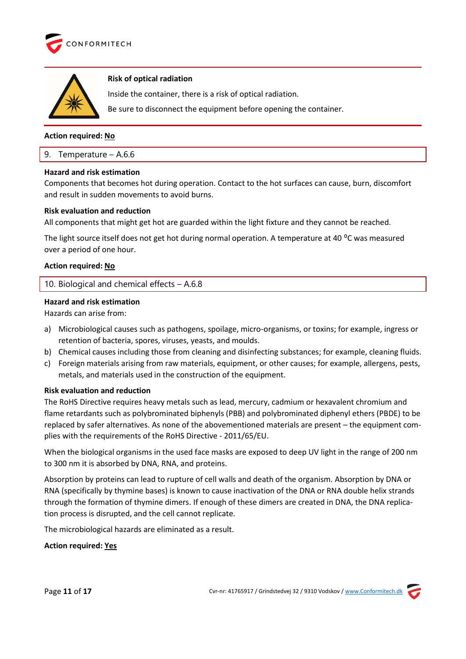



#### **Risk of optical radiation**

Inside the container, there is a risk of optical radiation.

Be sure to disconnect the equipment before opening the container.

# **Action required: No**

#### <span id="page-11-0"></span>9. Temperature – A.6.6

#### **Hazard and risk estimation**

Components that becomes hot during operation. Contact to the hot surfaces can cause, burn, discomfort and result in sudden movements to avoid burns.

#### **Risk evaluation and reduction**

All components that might get hot are guarded within the light fixture and they cannot be reached.

The light source itself does not get hot during normal operation. A temperature at 40 °C was measured over a period of one hour.

# **Action required: No**

<span id="page-11-1"></span>10. Biological and chemical effects – A.6.8

# **Hazard and risk estimation**

Hazards can arise from:

- a) Microbiological causes such as pathogens, spoilage, micro-organisms, or toxins; for example, ingress or retention of bacteria, spores, viruses, yeasts, and moulds.
- b) Chemical causes including those from cleaning and disinfecting substances; for example, cleaning fluids.
- c) Foreign materials arising from raw materials, equipment, or other causes; for example, allergens, pests, metals, and materials used in the construction of the equipment.

#### **Risk evaluation and reduction**

The RoHS Directive requires heavy metals such as lead, mercury, cadmium or hexavalent chromium and flame retardants such as polybrominated biphenyls (PBB) and polybrominated diphenyl ethers (PBDE) to be replaced by safer alternatives. As none of the abovementioned materials are present – the equipment complies with the requirements of the RoHS Directive - 2011/65/EU.

When the biological organisms in the used face masks are exposed to deep UV light in the range of 200 nm to 300 nm it is absorbed by DNA, RNA, and proteins.

Absorption by proteins can lead to rupture of cell walls and death of the organism. Absorption by DNA or RNA (specifically by thymine bases) is known to cause inactivation of the DNA or RNA double helix strands through the formation of thymine dimers. If enough of these dimers are created in DNA, the DNA replication process is disrupted, and the cell cannot replicate.

The microbiological hazards are eliminated as a result.

#### **Action required: Yes**



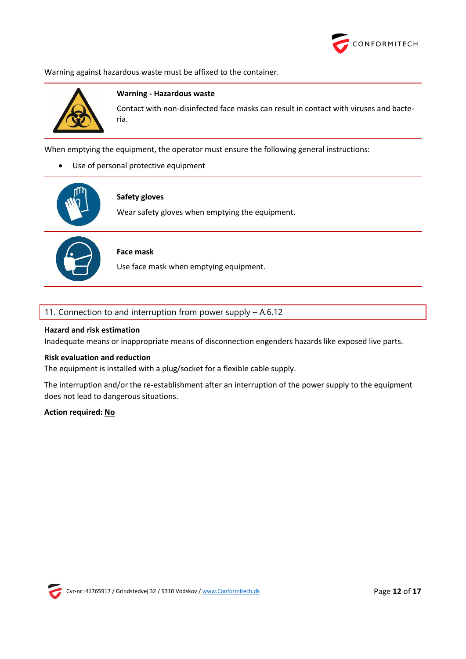

Warning against hazardous waste must be affixed to the container.



#### **Warning - Hazardous waste**

Contact with non-disinfected face masks can result in contact with viruses and bacteria.

When emptying the equipment, the operator must ensure the following general instructions:

• Use of personal protective equipment



#### **Safety gloves**

Wear safety gloves when emptying the equipment.



# **Face mask**

Use face mask when emptying equipment.

#### <span id="page-12-0"></span>11. Connection to and interruption from power supply – A.6.12

#### **Hazard and risk estimation**

Inadequate means or inappropriate means of disconnection engenders hazards like exposed live parts.

#### **Risk evaluation and reduction**

The equipment is installed with a plug/socket for a flexible cable supply.

The interruption and/or the re-establishment after an interruption of the power supply to the equipment does not lead to dangerous situations.

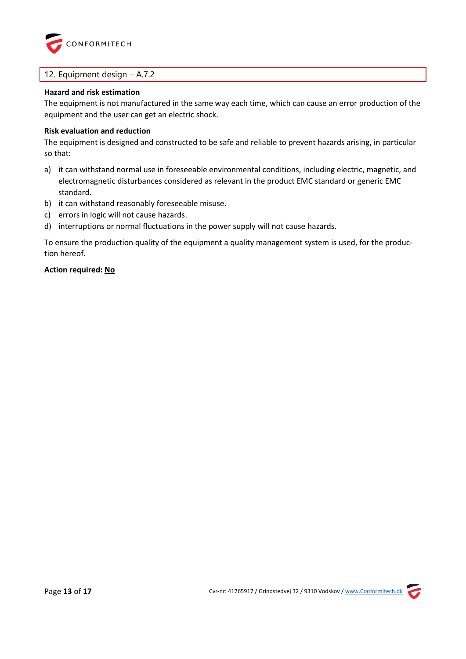

# <span id="page-13-0"></span>12. Equipment design – A.7.2

#### **Hazard and risk estimation**

The equipment is not manufactured in the same way each time, which can cause an error production of the equipment and the user can get an electric shock.

#### **Risk evaluation and reduction**

The equipment is designed and constructed to be safe and reliable to prevent hazards arising, in particular so that:

- a) it can withstand normal use in foreseeable environmental conditions, including electric, magnetic, and electromagnetic disturbances considered as relevant in the product EMC standard or generic EMC standard.
- b) it can withstand reasonably foreseeable misuse.
- c) errors in logic will not cause hazards.
- d) interruptions or normal fluctuations in the power supply will not cause hazards.

To ensure the production quality of the equipment a quality management system is used, for the production hereof.

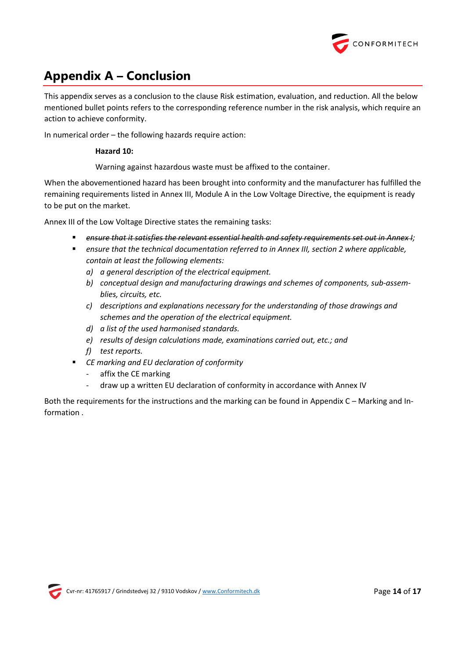

# <span id="page-14-0"></span>**Appendix A – Conclusion**

This appendix serves as a conclusion to the clause [Risk estimation, evaluation,](#page-7-0) and reduction. All the below mentioned bullet points refers to the corresponding reference number in the risk analysis, which require an action to achieve conformity.

In numerical order – the following hazards require action:

# **Hazard 10:**

Warning against hazardous waste must be affixed to the container.

When the abovementioned hazard has been brought into conformity and the manufacturer has fulfilled the remaining requirements listed in Annex III, Module A in the Low Voltage Directive, the equipment is ready to be put on the market.

Annex III of the Low Voltage Directive states the remaining tasks:

- ensure that it satisfies the relevant essential health and safety requirements set out in Annex I;
- *ensure that the technical documentation referred to in Annex III, section 2 where applicable, contain at least the following elements:*
	- *a) a general description of the electrical equipment.*
	- *b) conceptual design and manufacturing drawings and schemes of components, sub-assemblies, circuits, etc.*
	- *c) descriptions and explanations necessary for the understanding of those drawings and schemes and the operation of the electrical equipment.*
	- *d) a list of the used harmonised standards.*
	- *e) results of design calculations made, examinations carried out, etc.; and*
	- *f) test reports.*
- *CE marking and EU declaration of conformity*
	- *-* affix the CE marking
	- *-* draw up a written EU declaration of conformity in accordance with Annex IV

Both the requirements for the instructions and the marking can be found in [Appendix C](#page-17-0) – Marking and In[formation](#page-17-0) .

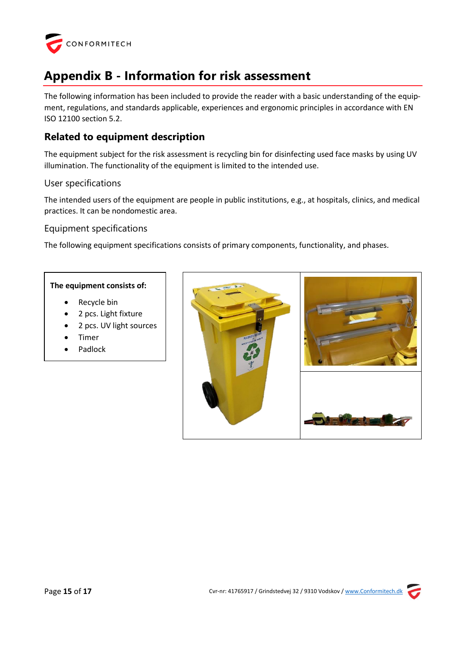

# <span id="page-15-0"></span>**Appendix B - Information for risk assessment**

The following information has been included to provide the reader with a basic understanding of the equipment, regulations, and standards applicable, experiences and ergonomic principles in accordance with EN ISO 12100 section 5.2.

# **Related to equipment description**

The equipment subject for the risk assessment is recycling bin for disinfecting used face masks by using UV illumination. The functionality of the equipment is limited to the intended use.

# User specifications

The intended users of the equipment are people in public institutions, e.g., at hospitals, clinics, and medical practices. It can be nondomestic area.

# Equipment specifications

The following equipment specifications consists of primary components, functionality, and phases.

#### **The equipment consists of:**

- Recycle bin
- 2 pcs. Light fixture
- 2 pcs. UV light sources
- **Timer**
- Padlock

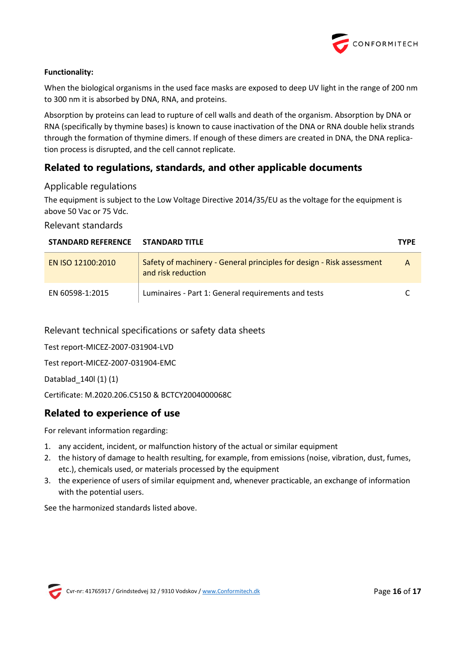

# **Functionality:**

When the biological organisms in the used face masks are exposed to deep UV light in the range of 200 nm to 300 nm it is absorbed by DNA, RNA, and proteins.

Absorption by proteins can lead to rupture of cell walls and death of the organism. Absorption by DNA or RNA (specifically by thymine bases) is known to cause inactivation of the DNA or RNA double helix strands through the formation of thymine dimers. If enough of these dimers are created in DNA, the DNA replication process is disrupted, and the cell cannot replicate.

# **Related to regulations, standards, and other applicable documents**

# Applicable regulations

The equipment is subject to the Low Voltage Directive 2014/35/EU as the voltage for the equipment is above 50 Vac or 75 Vdc.

# Relevant standards

| STANDARD REFERENCE STANDARD TITLE |                                                                                             | <b>TYPE</b> |
|-----------------------------------|---------------------------------------------------------------------------------------------|-------------|
| EN ISO 12100:2010                 | Safety of machinery - General principles for design - Risk assessment<br>and risk reduction | A           |
| EN 60598-1:2015                   | Luminaires - Part 1: General requirements and tests                                         |             |

Relevant technical specifications or safety data sheets

Test report-MICEZ-2007-031904-LVD

Test report-MICEZ-2007-031904-EMC

Datablad\_140l (1) (1)

Certificate: M.2020.206.C5150 & BCTCY2004000068C

# **Related to experience of use**

For relevant information regarding:

- 1. any accident, incident, or malfunction history of the actual or similar equipment
- 2. the history of damage to health resulting, for example, from emissions (noise, vibration, dust, fumes, etc.), chemicals used, or materials processed by the equipment
- 3. the experience of users of similar equipment and, whenever practicable, an exchange of information with the potential users.

See the harmonized standards listed above.